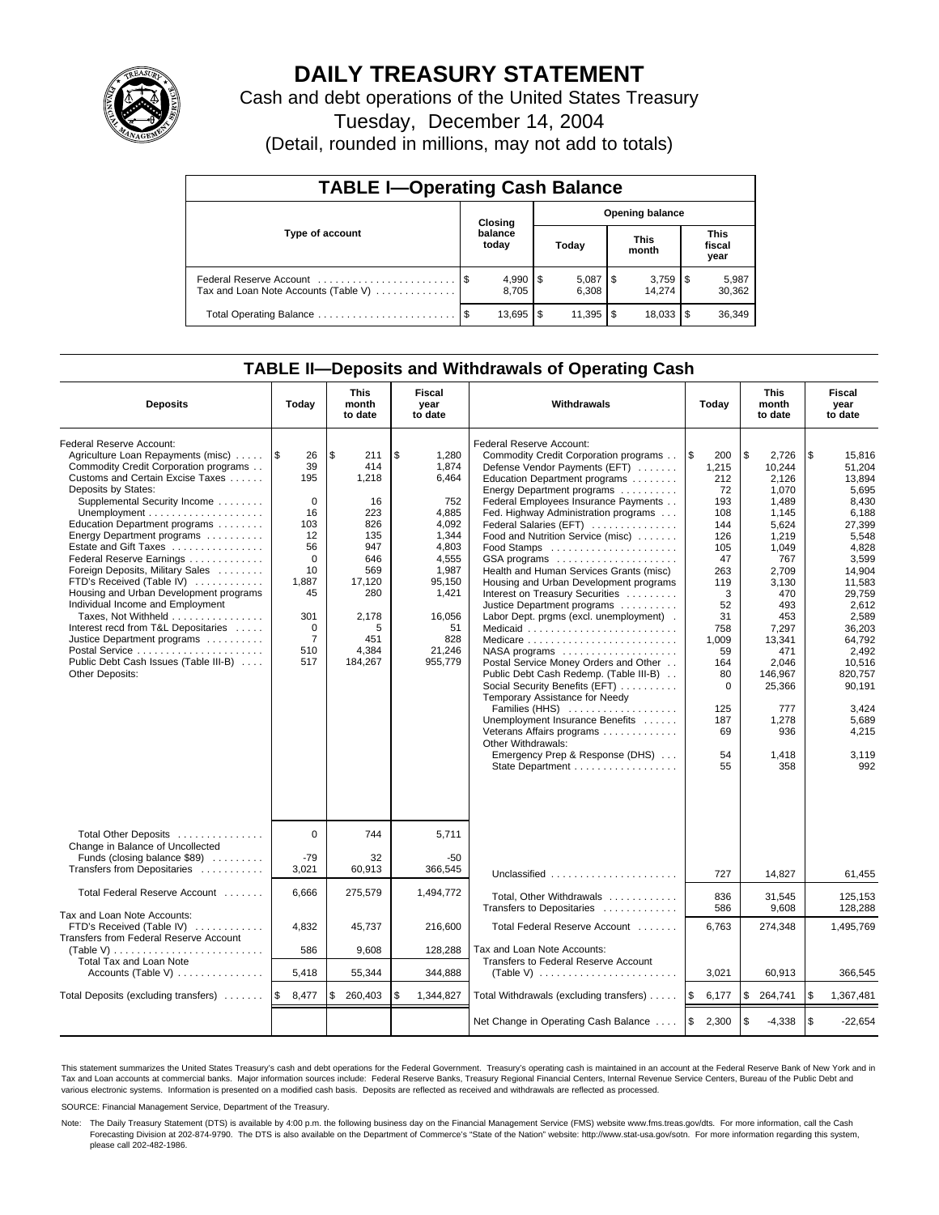

# **DAILY TREASURY STATEMENT**

Cash and debt operations of the United States Treasury

Tuesday, December 14, 2004

(Detail, rounded in millions, may not add to totals)

| <b>TABLE I-Operating Cash Balance</b>                           |                                   |                       |    |                       |  |                      |  |                               |  |  |
|-----------------------------------------------------------------|-----------------------------------|-----------------------|----|-----------------------|--|----------------------|--|-------------------------------|--|--|
|                                                                 | <b>Opening balance</b><br>Closing |                       |    |                       |  |                      |  |                               |  |  |
| Type of account                                                 |                                   | balance<br>today      |    | Today                 |  | <b>This</b><br>month |  | <b>This</b><br>fiscal<br>year |  |  |
| Federal Reserve Account<br>Tax and Loan Note Accounts (Table V) |                                   | $4,990$   \$<br>8.705 |    | $5,087$   \$<br>6.308 |  | 14.274               |  | 5,987<br>30,362               |  |  |
| Total Operating Balance                                         |                                   | 13,695                | \$ | $11,395$ \$           |  | 18,033               |  | 36,349                        |  |  |

### **TABLE II—Deposits and Withdrawals of Operating Cash**

| <b>Deposits</b>                                                                                                                                                                                                                                                                                                                                                                                                                                                                                                                                                                                                                | Today                                                                                                                                                 | <b>This</b><br>month<br>to date                                                                                                       | Fiscal<br>year<br>to date                                                                                                                                 | Withdrawals                                                                                                                                                                                                                                                                                                                                                                                                                                                                                                                                                                                                                                                                                                                                                                                                                                                                                                                                             | Today                                                                                                                                                                                   | <b>This</b><br>month<br>to date                                                                                                                                                                                                   | Fiscal<br>year<br>to date                                                                                                                                                                                                                               |
|--------------------------------------------------------------------------------------------------------------------------------------------------------------------------------------------------------------------------------------------------------------------------------------------------------------------------------------------------------------------------------------------------------------------------------------------------------------------------------------------------------------------------------------------------------------------------------------------------------------------------------|-------------------------------------------------------------------------------------------------------------------------------------------------------|---------------------------------------------------------------------------------------------------------------------------------------|-----------------------------------------------------------------------------------------------------------------------------------------------------------|---------------------------------------------------------------------------------------------------------------------------------------------------------------------------------------------------------------------------------------------------------------------------------------------------------------------------------------------------------------------------------------------------------------------------------------------------------------------------------------------------------------------------------------------------------------------------------------------------------------------------------------------------------------------------------------------------------------------------------------------------------------------------------------------------------------------------------------------------------------------------------------------------------------------------------------------------------|-----------------------------------------------------------------------------------------------------------------------------------------------------------------------------------------|-----------------------------------------------------------------------------------------------------------------------------------------------------------------------------------------------------------------------------------|---------------------------------------------------------------------------------------------------------------------------------------------------------------------------------------------------------------------------------------------------------|
| Federal Reserve Account:<br>Agriculture Loan Repayments (misc)<br>Commodity Credit Corporation programs<br>Customs and Certain Excise Taxes<br>Deposits by States:<br>Supplemental Security Income<br>Education Department programs<br>Energy Department programs<br>Estate and Gift Taxes<br>Federal Reserve Earnings<br>Foreign Deposits, Military Sales<br>FTD's Received (Table IV)<br>Housing and Urban Development programs<br>Individual Income and Employment<br>Taxes, Not Withheld<br>Interest recd from T&L Depositaries<br>Justice Department programs<br>Public Debt Cash Issues (Table III-B)<br>Other Deposits: | 1\$<br>26<br>39<br>195<br>$\mathbf 0$<br>16<br>103<br>12<br>56<br>$\Omega$<br>10<br>1,887<br>45<br>301<br>$\mathbf 0$<br>$\overline{7}$<br>510<br>517 | l \$<br>211<br>414<br>1,218<br>16<br>223<br>826<br>135<br>947<br>646<br>569<br>17,120<br>280<br>2,178<br>5<br>451<br>4,384<br>184,267 | \$<br>1.280<br>1,874<br>6,464<br>752<br>4.885<br>4.092<br>1.344<br>4.803<br>4,555<br>1,987<br>95.150<br>1,421<br>16,056<br>51<br>828<br>21.246<br>955.779 | Federal Reserve Account:<br>Commodity Credit Corporation programs<br>Defense Vendor Payments (EFT)<br>Education Department programs<br>Energy Department programs<br>Federal Employees Insurance Payments<br>Fed. Highway Administration programs<br>Federal Salaries (EFT)<br>Food and Nutrition Service (misc)<br>Food Stamps<br>GSA programs<br>Health and Human Services Grants (misc)<br>Housing and Urban Development programs<br>Interest on Treasury Securities<br>Justice Department programs<br>Labor Dept. prgms (excl. unemployment).<br>Medicaid<br>Medicare<br>$NASA$ programs $\ldots \ldots \ldots \ldots \ldots$<br>Postal Service Money Orders and Other<br>Public Debt Cash Redemp. (Table III-B)<br>Social Security Benefits (EFT)<br>Temporary Assistance for Needy<br>Families (HHS)<br>Unemployment Insurance Benefits<br>Veterans Affairs programs<br>Other Withdrawals:<br>Emergency Prep & Response (DHS)<br>State Department | l\$<br>200<br>1,215<br>212<br>72<br>193<br>108<br>144<br>126<br>105<br>47<br>263<br>119<br>3<br>52<br>31<br>758<br>1.009<br>59<br>164<br>80<br>$\Omega$<br>125<br>187<br>69<br>54<br>55 | \$<br>2,726<br>10,244<br>2,126<br>1,070<br>1,489<br>1,145<br>5.624<br>1,219<br>1,049<br>767<br>2.709<br>3,130<br>470<br>493<br>453<br>7,297<br>13.341<br>471<br>2.046<br>146,967<br>25,366<br>777<br>1,278<br>936<br>1,418<br>358 | \$<br>15,816<br>51,204<br>13,894<br>5,695<br>8,430<br>6.188<br>27.399<br>5,548<br>4.828<br>3,599<br>14.904<br>11,583<br>29,759<br>2,612<br>2,589<br>36,203<br>64.792<br>2.492<br>10.516<br>820.757<br>90,191<br>3,424<br>5,689<br>4,215<br>3,119<br>992 |
| Total Other Deposits<br>Change in Balance of Uncollected<br>Funds (closing balance \$89)<br>Transfers from Depositaries                                                                                                                                                                                                                                                                                                                                                                                                                                                                                                        | $\Omega$<br>$-79$<br>3,021                                                                                                                            | 744<br>32<br>60,913                                                                                                                   | 5.711<br>-50<br>366,545                                                                                                                                   | Unclassified                                                                                                                                                                                                                                                                                                                                                                                                                                                                                                                                                                                                                                                                                                                                                                                                                                                                                                                                            | 727                                                                                                                                                                                     | 14.827                                                                                                                                                                                                                            | 61.455                                                                                                                                                                                                                                                  |
| Total Federal Reserve Account                                                                                                                                                                                                                                                                                                                                                                                                                                                                                                                                                                                                  | 6,666                                                                                                                                                 | 275,579                                                                                                                               | 1,494,772                                                                                                                                                 | Total, Other Withdrawals<br>Transfers to Depositaries                                                                                                                                                                                                                                                                                                                                                                                                                                                                                                                                                                                                                                                                                                                                                                                                                                                                                                   | 836<br>586                                                                                                                                                                              | 31,545<br>9,608                                                                                                                                                                                                                   | 125,153<br>128,288                                                                                                                                                                                                                                      |
| Tax and Loan Note Accounts:<br>FTD's Received (Table IV)<br>Transfers from Federal Reserve Account                                                                                                                                                                                                                                                                                                                                                                                                                                                                                                                             | 4.832<br>586                                                                                                                                          | 45.737<br>9,608                                                                                                                       | 216.600<br>128,288                                                                                                                                        | Total Federal Reserve Account<br>Tax and Loan Note Accounts:                                                                                                                                                                                                                                                                                                                                                                                                                                                                                                                                                                                                                                                                                                                                                                                                                                                                                            | 6.763                                                                                                                                                                                   | 274,348                                                                                                                                                                                                                           | 1.495.769                                                                                                                                                                                                                                               |
| Total Tax and Loan Note<br>Accounts (Table V) $\dots \dots \dots \dots$                                                                                                                                                                                                                                                                                                                                                                                                                                                                                                                                                        | 5,418                                                                                                                                                 | 55,344                                                                                                                                | 344,888                                                                                                                                                   | Transfers to Federal Reserve Account                                                                                                                                                                                                                                                                                                                                                                                                                                                                                                                                                                                                                                                                                                                                                                                                                                                                                                                    | 3,021                                                                                                                                                                                   | 60,913                                                                                                                                                                                                                            | 366,545                                                                                                                                                                                                                                                 |
| Total Deposits (excluding transfers)                                                                                                                                                                                                                                                                                                                                                                                                                                                                                                                                                                                           | \$<br>8,477                                                                                                                                           | \$<br>260,403                                                                                                                         | \$<br>1,344,827                                                                                                                                           | Total Withdrawals (excluding transfers)                                                                                                                                                                                                                                                                                                                                                                                                                                                                                                                                                                                                                                                                                                                                                                                                                                                                                                                 | <b>S</b><br>6,177                                                                                                                                                                       | \$<br>264,741                                                                                                                                                                                                                     | \$<br>1,367,481                                                                                                                                                                                                                                         |
|                                                                                                                                                                                                                                                                                                                                                                                                                                                                                                                                                                                                                                |                                                                                                                                                       |                                                                                                                                       |                                                                                                                                                           | Net Change in Operating Cash Balance                                                                                                                                                                                                                                                                                                                                                                                                                                                                                                                                                                                                                                                                                                                                                                                                                                                                                                                    | l \$<br>2,300                                                                                                                                                                           | \$<br>$-4,338$                                                                                                                                                                                                                    | \$<br>$-22,654$                                                                                                                                                                                                                                         |

This statement summarizes the United States Treasury's cash and debt operations for the Federal Government. Treasury's operating cash is maintained in an account at the Federal Reserve Bank of New York and in Tax and Loan accounts at commercial banks. Major information sources include: Federal Reserve Banks, Treasury Regional Financial Centers, Internal Revenue Service Centers, Bureau of the Public Debt and<br>various electronic s

SOURCE: Financial Management Service, Department of the Treasury.

Note: The Daily Treasury Statement (DTS) is available by 4:00 p.m. the following business day on the Financial Management Service (FMS) website www.fms.treas.gov/dts. For more information, call the Cash Forecasting Division at 202-874-9790. The DTS is also available on the Department of Commerce's "State of the Nation" website: http://www.stat-usa.gov/sotn. For more information regarding this system, please call 202-482-1986.